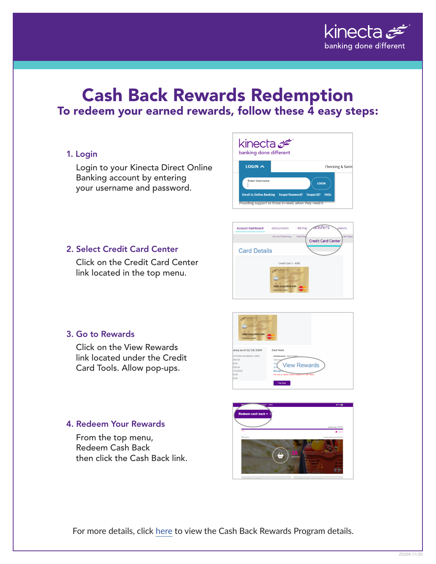

# Cash Back Rewards Redemption To redeem your earned rewards, follow these  $\overline{4}$  easy steps:

# 1. Login

Login to your Kinecta Direct Online Banking account by entering your username and password.



Bill Pay

eDocuments

Credit Card 1 - 4

**Account Dashboard** 

**Card Details** 

ansfers

**Credit Card Center** 

# 2. Select Credit Card Center

Click on the Credit Card Center link located in the top menu.



#### 3. Go to Rewards

Click on the View Rewards link located under the Credit Card Tools. Allow pop-ups.

# 4. Redeem Your Rewards

From the top menu, Redeem Cash Back then click the Cash Back link.



For more details, click [here](https://www.kinecta.org/Kinecta/media/Kinecta/Documents/Cash-Back-Rewards-Terms-and-Conditions-07_2020.pdf) to view the Cash Back Rewards Program details.